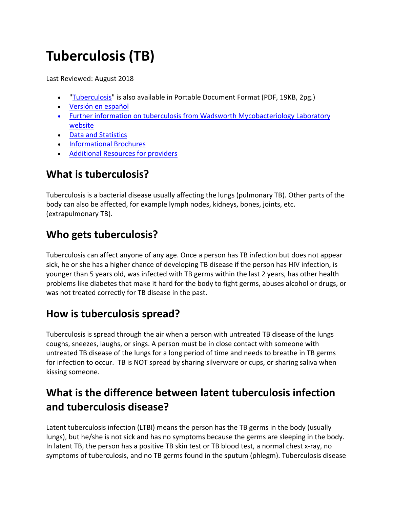# **Tuberculosis (TB)**

Last Reviewed: August 2018

- ["Tuberculosis"](https://www.health.ny.gov/diseases/communicable/tuberculosis/docs/fact_sheet.pdf) is also available in Portable Document Format (PDF, 19KB, 2pg.)
- [Versión en español](https://www.health.ny.gov/es/diseases/communicable/tuberculosis/fact_sheet.htm)
- [Further information on tuberculosis from Wadsworth Mycobacteriology Laboratory](https://www.wadsworth.org/programs/id/mycobact)  [website](https://www.wadsworth.org/programs/id/mycobact)
- [Data and Statistics](https://www.health.ny.gov/statistics/diseases/communicable/tuberculosis/)
- [Informational Brochures](https://www.health.ny.gov/diseases/communicable/tuberculosis/brochure.htm)
- Additional Resources for providers

### **What is tuberculosis?**

Tuberculosis is a bacterial disease usually affecting the lungs (pulmonary TB). Other parts of the body can also be affected, for example lymph nodes, kidneys, bones, joints, etc. (extrapulmonary TB).

### **Who gets tuberculosis?**

Tuberculosis can affect anyone of any age. Once a person has TB infection but does not appear sick, he or she has a higher chance of developing TB disease if the person has HIV infection, is younger than 5 years old, was infected with TB germs within the last 2 years, has other health problems like diabetes that make it hard for the body to fight germs, abuses alcohol or drugs, or was not treated correctly for TB disease in the past.

### **How is tuberculosis spread?**

Tuberculosis is spread through the air when a person with untreated TB disease of the lungs coughs, sneezes, laughs, or sings. A person must be in close contact with someone with untreated TB disease of the lungs for a long period of time and needs to breathe in TB germs for infection to occur. TB is NOT spread by sharing silverware or cups, or sharing saliva when kissing someone.

# **What is the difference between latent tuberculosis infection and tuberculosis disease?**

Latent tuberculosis infection (LTBI) means the person has the TB germs in the body (usually lungs), but he/she is not sick and has no symptoms because the germs are sleeping in the body. In latent TB, the person has a positive TB skin test or TB blood test, a normal chest x-ray, no symptoms of tuberculosis, and no TB germs found in the sputum (phlegm). Tuberculosis disease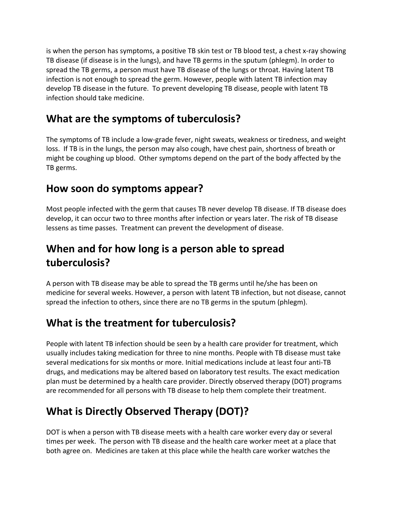is when the person has symptoms, a positive TB skin test or TB blood test, a chest x-ray showing TB disease (if disease is in the lungs), and have TB germs in the sputum (phlegm). In order to spread the TB germs, a person must have TB disease of the lungs or throat. Having latent TB infection is not enough to spread the germ. However, people with latent TB infection may develop TB disease in the future. To prevent developing TB disease, people with latent TB infection should take medicine.

### **What are the symptoms of tuberculosis?**

The symptoms of TB include a low-grade fever, night sweats, weakness or tiredness, and weight loss. If TB is in the lungs, the person may also cough, have chest pain, shortness of breath or might be coughing up blood. Other symptoms depend on the part of the body affected by the TB germs.

### **How soon do symptoms appear?**

Most people infected with the germ that causes TB never develop TB disease. If TB disease does develop, it can occur two to three months after infection or years later. The risk of TB disease lessens as time passes. Treatment can prevent the development of disease.

# **When and for how long is a person able to spread tuberculosis?**

A person with TB disease may be able to spread the TB germs until he/she has been on medicine for several weeks. However, a person with latent TB infection, but not disease, cannot spread the infection to others, since there are no TB germs in the sputum (phlegm).

# **What is the treatment for tuberculosis?**

People with latent TB infection should be seen by a health care provider for treatment, which usually includes taking medication for three to nine months. People with TB disease must take several medications for six months or more. Initial medications include at least four anti-TB drugs, and medications may be altered based on laboratory test results. The exact medication plan must be determined by a health care provider. Directly observed therapy (DOT) programs are recommended for all persons with TB disease to help them complete their treatment.

# **What is Directly Observed Therapy (DOT)?**

DOT is when a person with TB disease meets with a health care worker every day or several times per week. The person with TB disease and the health care worker meet at a place that both agree on. Medicines are taken at this place while the health care worker watches the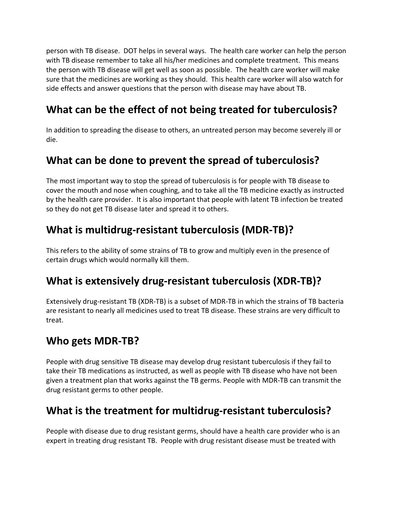person with TB disease. DOT helps in several ways. The health care worker can help the person with TB disease remember to take all his/her medicines and complete treatment. This means the person with TB disease will get well as soon as possible. The health care worker will make sure that the medicines are working as they should. This health care worker will also watch for side effects and answer questions that the person with disease may have about TB.

# **What can be the effect of not being treated for tuberculosis?**

In addition to spreading the disease to others, an untreated person may become severely ill or die.

### **What can be done to prevent the spread of tuberculosis?**

The most important way to stop the spread of tuberculosis is for people with TB disease to cover the mouth and nose when coughing, and to take all the TB medicine exactly as instructed by the health care provider. It is also important that people with latent TB infection be treated so they do not get TB disease later and spread it to others.

### **What is multidrug-resistant tuberculosis (MDR-TB)?**

This refers to the ability of some strains of TB to grow and multiply even in the presence of certain drugs which would normally kill them.

### **What is extensively drug-resistant tuberculosis (XDR-TB)?**

Extensively drug-resistant TB (XDR-TB) is a subset of MDR-TB in which the strains of TB bacteria are resistant to nearly all medicines used to treat TB disease. These strains are very difficult to treat.

### **Who gets MDR-TB?**

People with drug sensitive TB disease may develop drug resistant tuberculosis if they fail to take their TB medications as instructed, as well as people with TB disease who have not been given a treatment plan that works against the TB germs. People with MDR-TB can transmit the drug resistant germs to other people.

### **What is the treatment for multidrug-resistant tuberculosis?**

People with disease due to drug resistant germs, should have a health care provider who is an expert in treating drug resistant TB. People with drug resistant disease must be treated with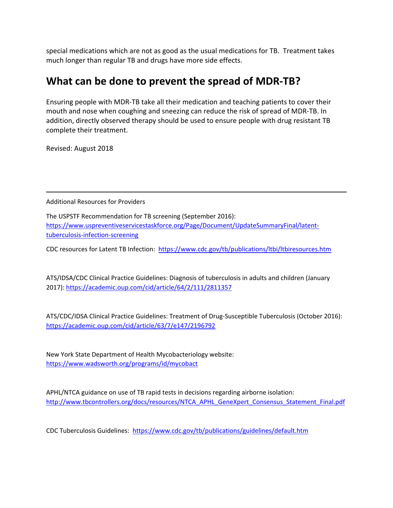special medications which are not as good as the usual medications for TB. Treatment takes much longer than regular TB and drugs have more side effects.

#### **What can be done to prevent the spread of MDR-TB?**

Ensuring people with MDR-TB take all their medication and teaching patients to cover their mouth and nose when coughing and sneezing can reduce the risk of spread of MDR-TB. In addition, directly observed therapy should be used to ensure people with drug resistant TB complete their treatment.

Revised: August 2018

Additional Resources for Providers

The USPSTF Recommendation for TB screening (September 2016): [https://www.uspreventiveservicestaskforce.org/Page/Document/UpdateSummaryFinal/latent](https://www.uspreventiveservicestaskforce.org/Page/Document/UpdateSummaryFinal/latent-tuberculosis-infection-screening)[tuberculosis-infection-screening](https://www.uspreventiveservicestaskforce.org/Page/Document/UpdateSummaryFinal/latent-tuberculosis-infection-screening) 

CDC resources for Latent TB Infection: <https://www.cdc.gov/tb/publications/ltbi/ltbiresources.htm>

ATS/IDSA/CDC Clinical Practice Guidelines: Diagnosis of tuberculosis in adults and children (January 2017):<https://academic.oup.com/cid/article/64/2/111/2811357>

ATS/CDC/IDSA Clinical Practice Guidelines: Treatment of Drug-Susceptible Tuberculosis (October 2016): <https://academic.oup.com/cid/article/63/7/e147/2196792>

New York State Department of Health Mycobacteriology website: <https://www.wadsworth.org/programs/id/mycobact>

APHL/NTCA guidance on use of TB rapid tests in decisions regarding airborne isolation: http://www.tbcontrollers.org/docs/resources/NTCA\_APHL\_GeneXpert\_Consensus\_Statement\_Final.pdf

CDC Tuberculosis Guidelines:<https://www.cdc.gov/tb/publications/guidelines/default.htm>